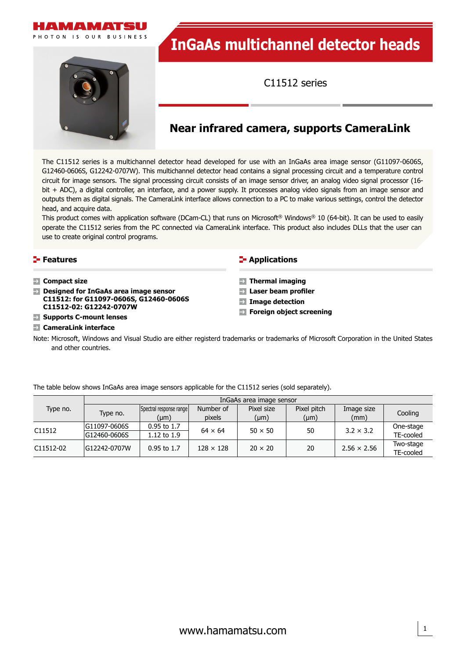



# **InGaAs multichannel detector heads**

C11512 series

## **Near infrared camera, supports CameraLink**

The C11512 series is a multichannel detector head developed for use with an InGaAs area image sensor (G11097-0606S, G12460-0606S, G12242-0707W). This multichannel detector head contains a signal processing circuit and a temperature control circuit for image sensors. The signal processing circuit consists of an image sensor driver, an analog video signal processor (16 bit + ADC), a digital controller, an interface, and a power supply. It processes analog video signals from an image sensor and outputs them as digital signals. The CameraLink interface allows connection to a PC to make various settings, control the detector head, and acquire data.

This product comes with application software (DCam-CL) that runs on Microsoft® Windows® 10 (64-bit). It can be used to easily operate the C11512 series from the PC connected via CameraLink interface. This product also includes DLLs that the user can use to create original control programs.

| $\blacktriangleright$ Features                                                                                                                                                                                                                        | <b>E</b> Applications                                                                                                                         |
|-------------------------------------------------------------------------------------------------------------------------------------------------------------------------------------------------------------------------------------------------------|-----------------------------------------------------------------------------------------------------------------------------------------------|
| $\rightarrow$ Compact size<br>$\rightarrow$ Designed for InGaAs area image sensor<br>C11512: for G11097-0606S, G12460-0606S<br>C11512-02: G12242-0707W<br>$\blacktriangleright$ Supports C-mount lenses<br>$\blacktriangleright$ CameraLink interface | $\rightarrow$ Thermal imaging<br>$\rightarrow$ Laser beam profiler<br>$\rightarrow$ Image detection<br>$\rightarrow$ Foreign object screening |

Note: Microsoft, Windows and Visual Studio are either registerd trademarks or trademarks of Microsoft Corporation in the United States and other countries.

|           | InGaAs area image sensor |                         |                  |                |             |                    |           |
|-----------|--------------------------|-------------------------|------------------|----------------|-------------|--------------------|-----------|
| Type no.  | Type no.                 | Spectral response range | Number of        | Pixel size     | Pixel pitch | Image size         |           |
|           |                          | $(\mu m)$               | pixels           | $(\mu m)$      | $(\mu m)$   | (mm)               | Cooling   |
| C11512    | G11097-0606S             | $0.95$ to 1.7           | $64 \times 64$   | $50 \times 50$ | 50          | $3.2 \times 3.2$   | One-stage |
|           | G12460-0606S             | 1.12 to 1.9             |                  |                |             |                    | TE-cooled |
| C11512-02 | G12242-0707W             | $0.95$ to 1.7           | $128 \times 128$ | $20 \times 20$ | 20          | $2.56 \times 2.56$ | Two-stage |
|           |                          |                         |                  |                |             |                    | TE-cooled |

The table below shows InGaAs area image sensors applicable for the C11512 series (sold separately).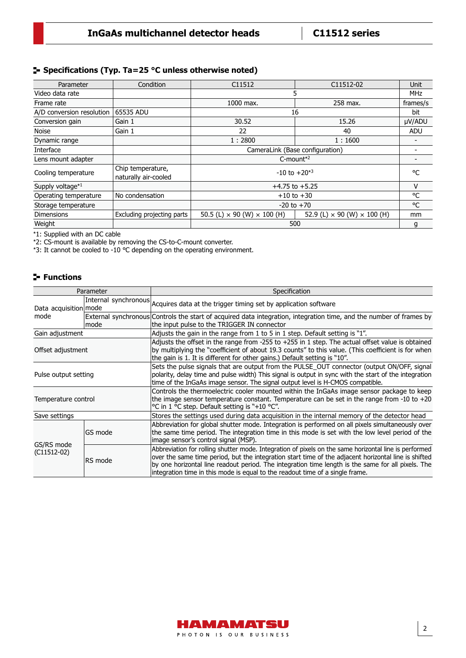#### **Specifications (Typ. Ta=25 °C unless otherwise noted)**

| Parameter                 | Condition                                 | C <sub>11512</sub><br>C11512-02           |                                           | Unit       |
|---------------------------|-------------------------------------------|-------------------------------------------|-------------------------------------------|------------|
| Video data rate           |                                           | 5                                         |                                           | <b>MHz</b> |
| Frame rate                |                                           | 1000 max.<br>258 max.                     |                                           | frames/s   |
| A/D conversion resolution | 65535 ADU                                 | 16                                        |                                           | bit        |
| Conversion gain           | Gain 1                                    | 30.52                                     | 15.26                                     | µV/ADU     |
| <b>Noise</b>              | Gain 1                                    | 22                                        | 40                                        | <b>ADU</b> |
| Dynamic range             |                                           | 1:2800<br>1:1600                          |                                           |            |
| Interface                 |                                           | CameraLink (Base configuration)           |                                           |            |
| Lens mount adapter        |                                           | $C$ -mount <sup><math>*2</math></sup>     |                                           |            |
| Cooling temperature       | Chip temperature,<br>naturally air-cooled | $-10$ to $+20^{*3}$                       |                                           | °C         |
| Supply voltage*1          |                                           | $+4.75$ to $+5.25$                        |                                           |            |
| Operating temperature     | No condensation                           | $+10$ to $+30$                            |                                           |            |
| Storage temperature       |                                           | $-20$ to $+70$                            |                                           | °C         |
| <b>Dimensions</b>         | Excluding projecting parts                | 50.5 (L) $\times$ 90 (W) $\times$ 100 (H) | 52.9 (L) $\times$ 90 (W) $\times$ 100 (H) | mm         |
| Weight                    |                                           | 500                                       |                                           |            |

\*1: Supplied with an DC cable

\*2: CS-mount is available by removing the CS-to-C-mount converter.

\*3: It cannot be cooled to -10 ℃ depending on the operating environment.

#### **Functions**

| Parameter                     |         | Specification                                                                                                                                                                                                                                                                                                                                                                                        |  |  |
|-------------------------------|---------|------------------------------------------------------------------------------------------------------------------------------------------------------------------------------------------------------------------------------------------------------------------------------------------------------------------------------------------------------------------------------------------------------|--|--|
| Data acquisition mode<br>mode |         | Internal synchronous Acquires data at the trigger timing set by application software                                                                                                                                                                                                                                                                                                                 |  |  |
|                               | mode    | External synchronous Controls the start of acquired data integration, integration time, and the number of frames by<br>the input pulse to the TRIGGER IN connector                                                                                                                                                                                                                                   |  |  |
| Gain adjustment               |         | Adjusts the gain in the range from 1 to 5 in 1 step. Default setting is "1".                                                                                                                                                                                                                                                                                                                         |  |  |
| Offset adjustment             |         | Adjusts the offset in the range from -255 to +255 in 1 step. The actual offset value is obtained<br>by multiplying the "coefficient of about 19.3 counts" to this value. (This coefficient is for when<br>the gain is 1. It is different for other gains.) Default setting is "10".                                                                                                                  |  |  |
| Pulse output setting          |         | Sets the pulse signals that are output from the PULSE OUT connector (output ON/OFF, signal<br>polarity, delay time and pulse width) This signal is output in sync with the start of the integration<br>time of the InGaAs image sensor. The signal output level is H-CMOS compatible.                                                                                                                |  |  |
| Temperature control           |         | Controls the thermoelectric cooler mounted within the InGaAs image sensor package to keep<br>the image sensor temperature constant. Temperature can be set in the range from -10 to $+20$<br>°C in 1 °C step. Default setting is "+10 °C".                                                                                                                                                           |  |  |
| Save settings                 |         | Stores the settings used during data acquisition in the internal memory of the detector head                                                                                                                                                                                                                                                                                                         |  |  |
| GS/RS mode<br>$(C11512-02)$   | GS mode | Abbreviation for global shutter mode. Integration is performed on all pixels simultaneously over<br>the same time period. The integration time in this mode is set with the low level period of the<br>image sensor's control signal (MSP).                                                                                                                                                          |  |  |
|                               | RS mode | Abbreviation for rolling shutter mode. Integration of pixels on the same horizontal line is performed<br>over the same time period, but the integration start time of the adjacent horizontal line is shifted<br>by one horizontal line readout period. The integration time length is the same for all pixels. The<br>integration time in this mode is equal to the readout time of a single frame. |  |  |

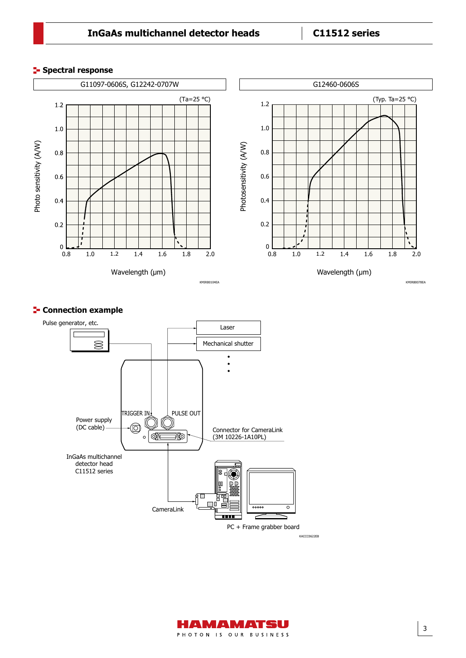### **InGaAs multichannel detector heads C11512 series**

#### **Spectral response**



#### **E-** Connection example



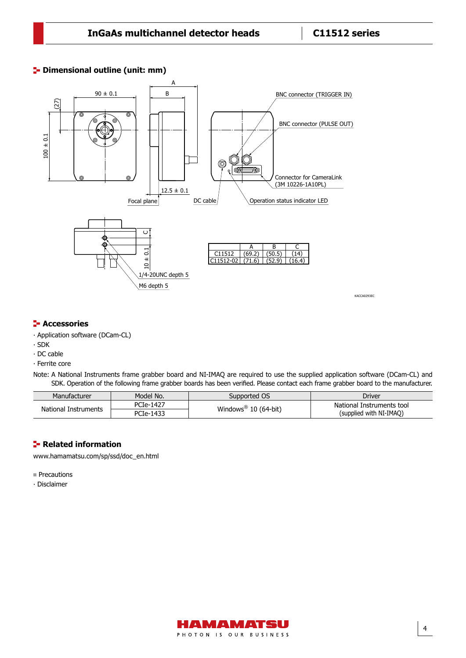#### **<sup>1</sup>** Dimensional outline (unit: mm)



#### **F** Accessories

- ∙ Application software (DCam-CL)
- ∙ SDK
- ∙ DC cable
- ∙ Ferrite core

Note: A National Instruments frame grabber board and NI-IMAQ are required to use the supplied application software (DCam-CL) and SDK. Operation of the following frame grabber boards has been verified. Please contact each frame grabber board to the manufacturer.

| Manufacturer         | Model No. | Supported OS                     | Driver                    |
|----------------------|-----------|----------------------------------|---------------------------|
| National Instruments | PCIe-1427 | Windows <sup>®</sup> 10 (64-bit) | National Instruments tool |
|                      | PCIe-1433 |                                  | (supplied with NI-IMAO)   |

#### **Related information**

[www.hamamatsu.com/sp/ssd/doc\\_en.html](https://www.hamamatsu.com/sp/ssd/doc_en.html)

**Precautions** 

∙ Disclaimer



4